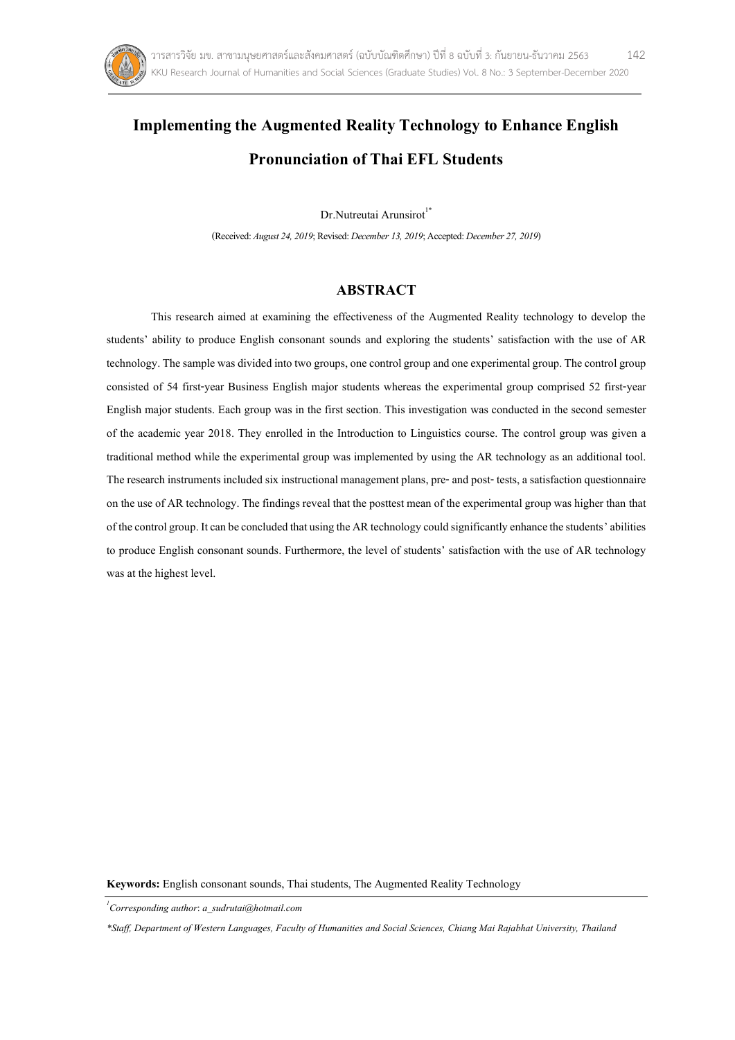

# **Implementingthe Augmented Reality Technology to Enhance English Pronunciationof Thai EFL Students**

Dr.Nutreutai Arunsirot<sup>1\*</sup>

(Received: *August24, 2019*; Revised: *December 13, 2019*; Accepted: *December27, 2019*)

# **ABSTRACT**

This research aimed at examining the effectiveness of the Augmented Reality technology to develop the students' ability to produce English consonant sounds and exploring the students' satisfaction with the use of AR technology. The sample was divided into two groups, one control group and one experimental group. The control group consisted of 54 first-year Business English major students whereas the experimental group comprised 52 first-year English major students. Each group was in the first section. This investigation was conducted in the second semester of the academic year 2018. They enrolled in the Introduction to Linguistics course. The control group was given a traditional method while the experimental group was implemented by using the AR technology as an additional tool. The research instruments included six instructional management plans, pre- and post- tests, a satisfaction questionnaire on the use of AR technology. The findings reveal that the posttest mean of the experimental group was higher than that of the control group. It can be concluded that using the AR technology could significantly enhance the students' abilities to produce English consonant sounds. Furthermore, the level of students' satisfaction with the use of AR technology was at the highest level.

**Keywords:** English consonant sounds, Thai students, The Augmented Reality Technology

*1 Corresponding author*: *[a\\_sudrutai@hotmail](mailto:a_sudrutai@hotmail.com).com*

*\*Staff, Department of Western Languages, Faculty of Humanities and Social Sciences, Chiang Mai Rajabhat University, Thailand*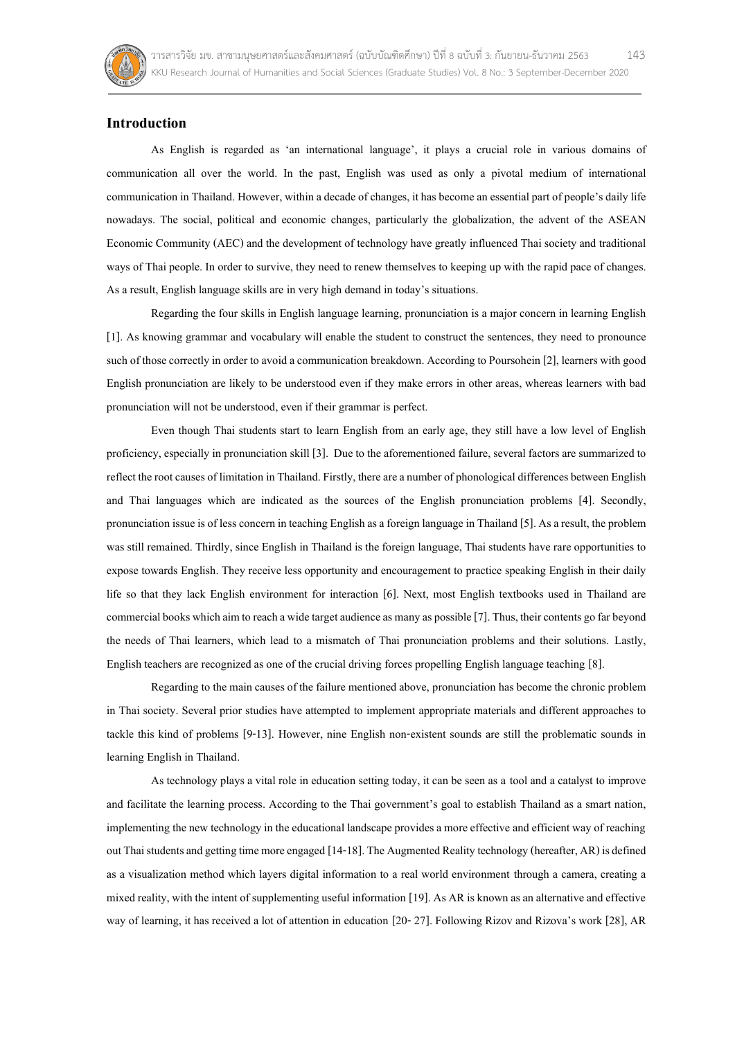

# **Introduction**

As English is regarded as 'an international language', it plays a crucial role in various domains of communication all over the world. In the past, English was used as only a pivotal medium of international communication in Thailand. However, within a decade of changes, it has become an essential part of people's daily life nowadays. The social, political and economic changes, particularly the globalization, the advent of the ASEAN Economic Community (AEC) and the development of technology have greatly influenced Thai society and traditional ways of Thai people. In order to survive, they need to renew themselves to keeping up with the rapid pace of changes. As a result, English language skills are in very high demand in today's situations.

Regarding the four skills in English language learning, pronunciation is a major concern in learning English [1]. As knowing grammar and vocabulary will enable the student to construct the sentences, they need to pronounce such of those correctly in order to avoid a communication breakdown. According to Poursohein [2], learners with good English pronunciation are likely to be understood even if they make errors in other areas, whereas learners with bad pronunciation will not be understood, even if their grammar is perfect.

Even though Thai students start to learn English from an early age, they still have a low level of English proficiency, especially in pronunciation skill [3]. Due to the aforementioned failure, several factors are summarized to reflect the root causes of limitation in Thailand. Firstly, there are a number of phonological differences between English and Thai languages which are indicated as the sources of the English pronunciation problems [4]. Secondly, pronunciation issue is of less concern in teaching English as a foreign language in Thailand [5]. As a result, the problem was still remained. Thirdly, since English in Thailand is the foreign language, Thai students have rare opportunities to expose towards English. They receive less opportunity and encouragement to practice speaking English in their daily life so that they lack English environment for interaction [6]. Next, most English textbooks used in Thailand are commercial books which aim to reach a wide target audience as many as possible [7]. Thus, their contents go far beyond the needs of Thai learners, which lead to a mismatch of Thai pronunciation problems and their solutions. Lastly, English teachers are recognized as one of the crucial driving forces propelling English language teaching [8].

Regarding to the main causes of the failure mentioned above, pronunciation has become the chronic problem in Thai society. Several prior studies have attempted to implement appropriate materials and different approaches to tackle this kind of problems [9-13]. However, nine English non-existent sounds are still the problematic sounds in learning English in Thailand.

As technology plays a vital role in education setting today, it can be seen as a tool and a catalyst to improve and facilitate the learning process. According to the Thai government's goal to establish Thailand as a smart nation, implementing the new technology in the educational landscape provides a more effective and efficient way of reaching out Thai students and getting time more engaged[14-18]. The Augmented Realitytechnology (hereafter, AR) is defined as a visualization method which layers digital information to a real world environment through a camera, creating a mixed reality, with the intent of supplementing useful information [19]. As AR is known as an alternative and effective way of learning, it has received a lot of attention in education [20- 27]. Following Rizov and Rizova's work [28], AR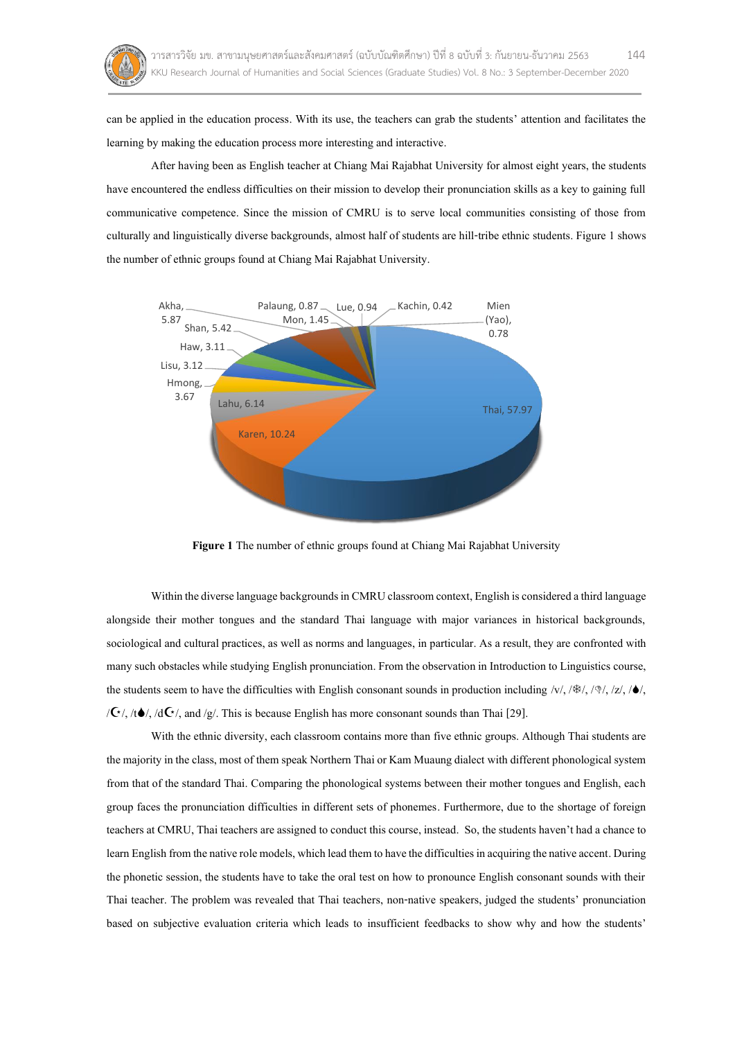

can be applied in the education process. With its use, the teachers can grab the students' attention and facilitates the learning by making the education process more interesting and interactive.

After having been as English teacher at Chiang Mai Rajabhat University for almost eight years, the students have encountered the endless difficulties on their mission to develop their pronunciation skills as a key to gaining full communicative competence. Since the mission of CMRU is to serve local communities consisting of those from culturally and linguistically diverse backgrounds, almost half of students are hill-tribe ethnic students. Figure 1 shows the number of ethnic groups found at Chiang Mai Rajabhat University.



**Figure 1** The number of ethnic groups found at Chiang Mai Rajabhat University

Within the diverse language backgrounds in CMRU classroom context, English is considered a third language alongside their mother tongues and the standard Thai language with major variances in historical backgrounds, sociological and cultural practices, as well as norms and languages, in particular. As a result, they are confronted with many such obstacles while studying English pronunciation. From the observation in Introduction to Linguistics course, the students seem to have the difficulties with English consonant sounds in production including /v/, //, //, /z/, //,  $\sqrt{G}$ , /t $\bullet$ /, /d $\overline{G}$ /, and /g/. This is because English has more consonant sounds than Thai [29].

With the ethnic diversity, each classroom contains more than five ethnic groups. Although Thai students are the majority in the class, most of them speak Northern Thai or Kam Muaung dialect with differentphonological system from that of the standard Thai. Comparing the phonological systems between their mother tongues and English, each group faces the pronunciation difficulties in different sets of phonemes. Furthermore, due to the shortage of foreign teachers at CMRU, Thai teachers are assigned to conduct this course, instead. So, the students haven't hada chance to learn English from the native role models, which lead them to have the difficulties in acquiring the native accent. During the phonetic session, the students have to take the oral test on how to pronounce English consonant sounds with their Thai teacher. The problem was revealed that Thai teachers, non-native speakers, judged the students' pronunciation based on subjective evaluation criteria which leads to insufficient feedbacks to show why and how the students'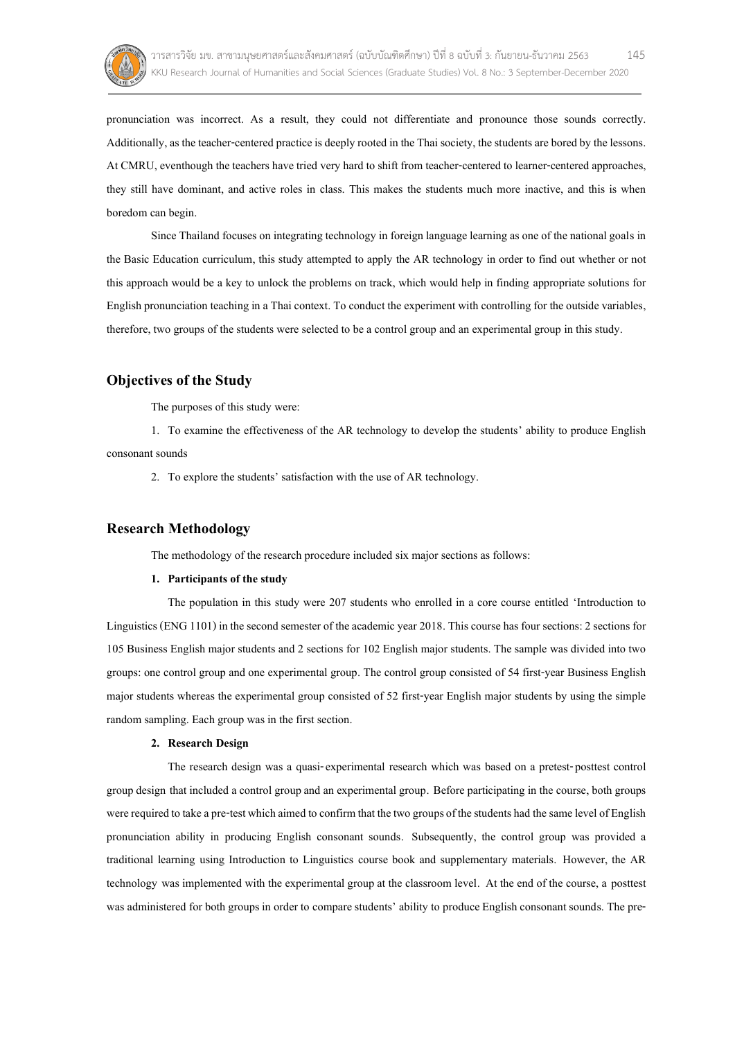

pronunciation was incorrect. As a result, they could not differentiate and pronounce those sounds correctly. Additionally, as the teacher-centered practice is deeply rooted in the Thai society, the students are bored by the lessons. At CMRU, eventhough the teachers have tried very hard to shift from teacher-centered to learner-centered approaches, they still have dominant, and active roles in class. This makes the students much more inactive, and this is when boredom can begin.

Since Thailand focuses on integrating technology in foreign language learning as one of the national goals in the Basic Education curriculum, this study attempted to apply the AR technology in order to find out whether or not this approach would be a key to unlock the problems on track, which would help in finding appropriate solutions for English pronunciation teaching in a Thai context. To conduct the experiment with controlling for the outside variables, therefore, two groups of the students were selected to be a control group and an experimental group in this study.

## **Objectives of the Study**

The purposes of this study were:

1. To examine the effectiveness of the AR technology to develop the students' ability to produce English consonant sounds

2. To explore the students' satisfaction with the use of AR technology.

# **Research Methodology**

The methodology of the research procedure included six major sections as follows:

#### **1. Participants of the study**

The population in this study were 207 students who enrolled in a core course entitled 'Introduction to Linguistics (ENG 1101) in the second semester of the academic year 2018. This course has four sections: 2 sections for 105 Business English major students and 2 sections for 102 English major students. The sample was divided into two groups: one control group and one experimental group. The control group consisted of 54 first-year Business English major students whereas the experimental group consisted of 52 first-year English major students by using the simple random sampling. Each group was in the first section.

## **2. Research Design**

The research design was a quasi-experimental research which was based on a pretest-posttest control group design that included a control group and an experimental group. Before participating in the course, both groups were required to take a pre-test which aimed to confirm that the two groups of the students had the same level of English pronunciation ability in producing English consonant sounds. Subsequently, the control group was provided a traditional learning using Introduction to Linguistics course book and supplementary materials. However, the AR technology was implemented with the experimental group at the classroom level. At the end of the course, a posttest was administered for both groups in order to compare students' ability to produce English consonant sounds. The pre-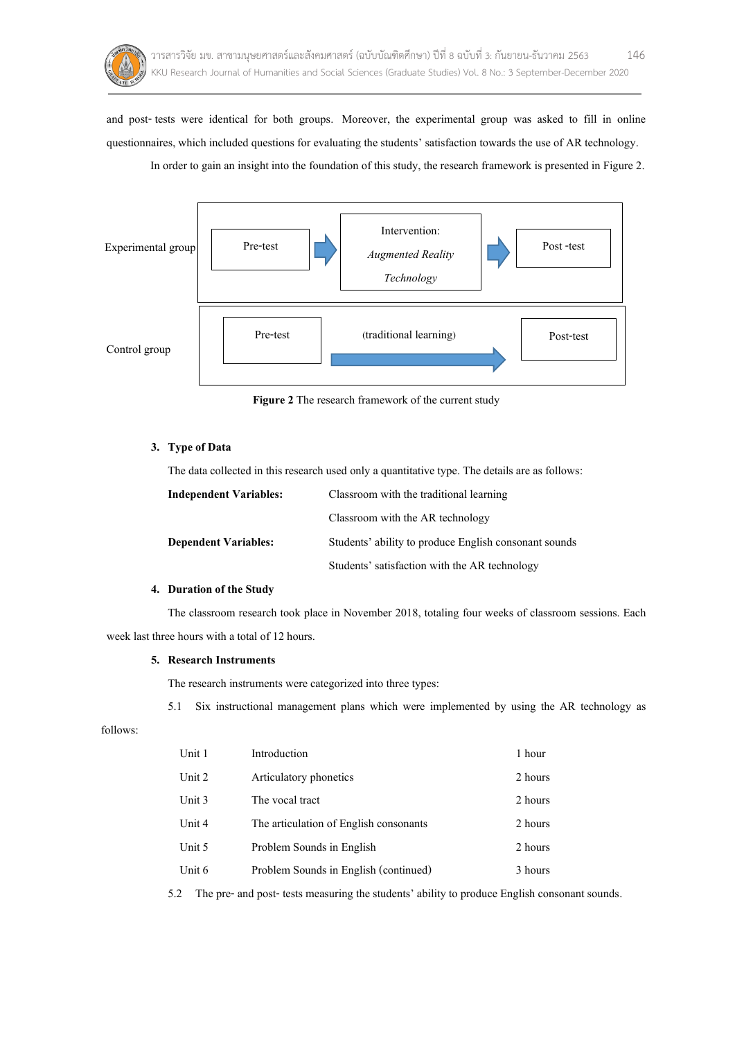

and post- tests were identical for both groups. Moreover, the experimental group was asked to fill in online questionnaires, which included questions for evaluating the students' satisfaction towards the use of AR technology. In order to gain an insight into the foundation of this study, the research framework is presented in Figure 2.



**Figure 2** The research framework of the current study

## **3. Type of Data**

The data collected in this research used only a quantitative type. The details are as follows:

| <b>Independent Variables:</b> | Classroom with the traditional learning               |
|-------------------------------|-------------------------------------------------------|
|                               | Classroom with the AR technology                      |
| <b>Dependent Variables:</b>   | Students' ability to produce English consonant sounds |
|                               | Students' satisfaction with the AR technology         |

## **4. Duration of the Study**

The classroom research took place in November 2018, totaling four weeks of classroom sessions. Each week last three hours with a total of 12 hours.

#### **5. Research Instruments**

The research instruments were categorized into three types:

5.1 Six instructional management plans which were implemented by using the AR technology as

follows:

| Unit 1 | Introduction                           | 1 hour  |
|--------|----------------------------------------|---------|
| Unit 2 | Articulatory phonetics                 | 2 hours |
| Unit 3 | The vocal tract                        | 2 hours |
| Unit 4 | The articulation of English consonants | 2 hours |
| Unit 5 | Problem Sounds in English              | 2 hours |
| Unit 6 | Problem Sounds in English (continued)  | 3 hours |

5.2 The pre- and post- tests measuring the students' ability to produce English consonant sounds.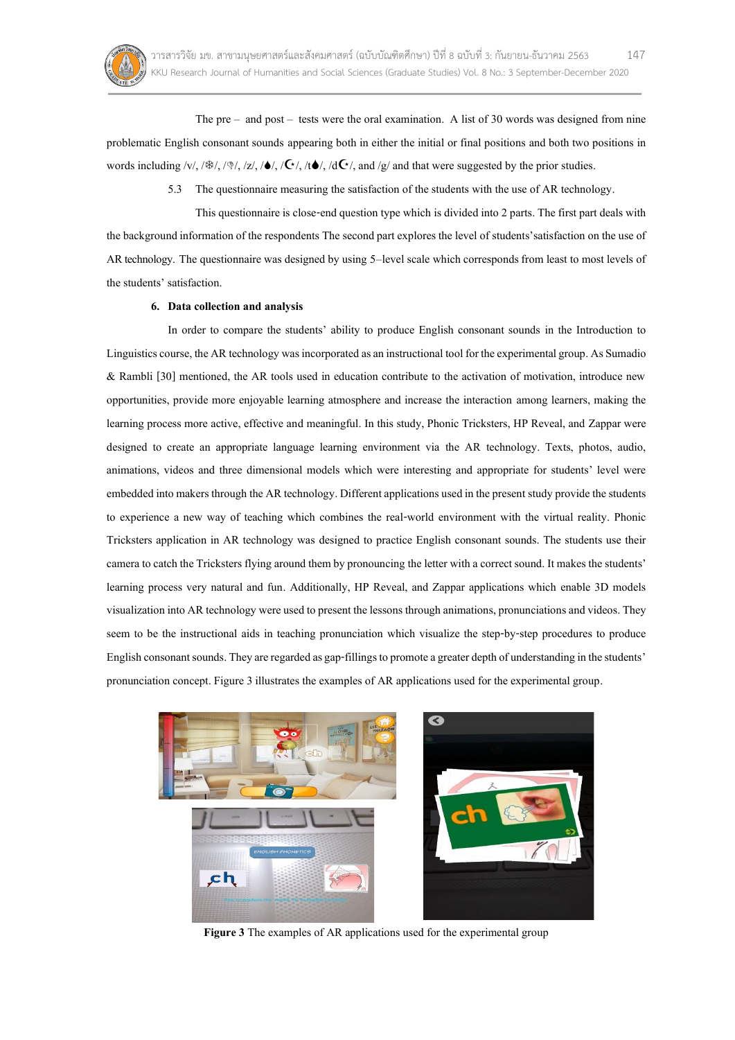

The  $pre -$  and  $post -$  tests were the oral examination. A list of 30 words was designed from nine problematic English consonant sounds appearing both in either the initial or final positions and both two positions in words including /v/, //, //, /z/, //, //, /t/, /d/, and /g/ and that were suggested by the prior studies.

5.3 The questionnaire measuring the satisfaction of the students with the use of AR technology.

This questionnaire is close-end question type which is divided into 2 parts. The first part deals with the background information of the respondents The second part explores the level of students'satisfaction on the use of AR technology. The questionnaire was designed by using 5–level scale which corresponds from least to most levels of the students' satisfaction.

#### **6. Data collection and analysis**

In order to compare the students' ability to produce English consonant sounds in the Introduction to Linguistics course, the AR technology was incorporatedas aninstructional tool for the experimental group. As Sumadio & Rambli [30] mentioned, the AR tools used in education contribute to the activation of motivation, introduce new opportunities, provide more enjoyable learning atmosphere and increase the interaction among learners, making the learning process more active, effective and meaningful. In this study, Phonic Tricksters, HP Reveal, and Zappar were designed to create an appropriate language learning environment via the AR technology. Texts, photos, audio, animations, videos and three dimensional models which were interesting and appropriate for students' level were embedded into makers through the AR technology. Different applications used in the present study provide the students to experience a new way of teaching which combines the real-world environment with the virtual reality. Phonic Tricksters application in AR technology was designed to practice English consonant sounds. The students use their camera to catch the Tricksters flying around them by pronouncing the letter with a correct sound. It makes the students' learning process very natural and fun. Additionally, HP Reveal, and Zappar applications which enable 3D models visualization into AR technology wereused to present the lessons through animations, pronunciationsand videos. They seem to be the instructional aids in teaching pronunciation which visualize the step-by-step procedures to produce English consonant sounds. They are regarded as gap-fillings to promote a greater depth of understanding in the students' pronunciation concept.Figure 3 illustrates the examples of AR applications used for the experimental group.



**Figure 3** The examples of AR applications used for the experimental group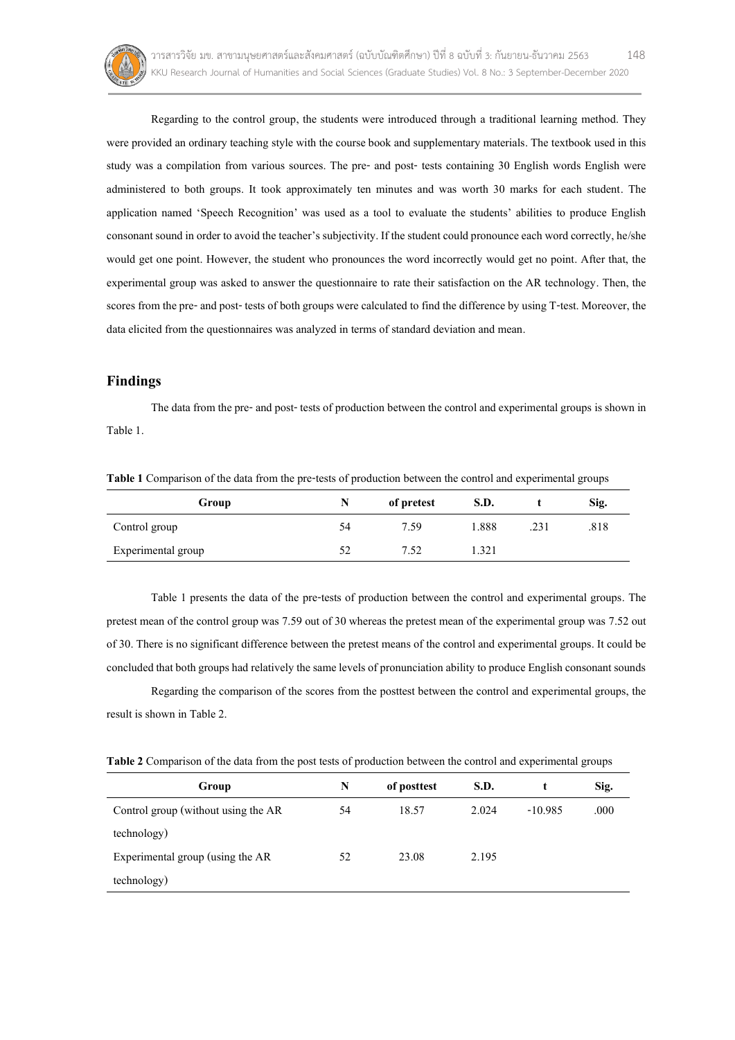

Regarding to the control group, the students were introduced through a traditional learning method. They were provided an ordinary teaching style with the course book and supplementary materials. The textbook used in this study was a compilation from various sources. The pre- and post- tests containing 30 English words English were administered to both groups. It took approximately ten minutes and was worth 30 marks for each student. The application named 'Speech Recognition' was used as a tool to evaluate the students' abilities to produce English consonant sound in order to avoid the teacher's subjectivity. If the student could pronounce each word correctly, he/she would get one point. However, the student who pronounces the word incorrectly would get no point. After that, the experimental group was asked to answer the questionnaire to rate their satisfaction on the AR technology. Then, the scores from the pre- and post- tests of both groups were calculated to find the difference by using T-test. Moreover, the data elicited from the questionnaires was analyzed in terms of standard deviation and mean.

# **Findings**

The data from the pre- and post- tests of production between the control and experimental groups is shown in Table 1.

**Table 1** Comparison of the data from the pre-tests of production between the control and experimental groups

| Group              | N  | of pretest | S.D.  |      | Sig. |
|--------------------|----|------------|-------|------|------|
| Control group      | 54 | 7.59       | 1.888 | .231 | .818 |
| Experimental group | 52 | 7.52       | 1.321 |      |      |

Table 1 presents the data of the pre-tests of production between the control and experimental groups. The pretest mean of the control group was 7.59 out of 30 whereas the pretest mean of the experimental group was 7.52 out of 30. There is no significant difference between the pretest means of the control and experimental groups. It could be concluded that both groups had relatively the same levels of pronunciation ability to produce English consonant sounds

Regarding the comparison of the scores from the posttest between the control and experimental groups, the result is shown in Table 2.

**Table 2** Comparison of the data from the post tests of production between the control and experimental groups

| Group                               | N  | of posttest | S.D.  |           | Sig. |
|-------------------------------------|----|-------------|-------|-----------|------|
| Control group (without using the AR | 54 | 18.57       | 2.024 | $-10.985$ | .000 |
| technology)                         |    |             |       |           |      |
| Experimental group (using the AR    | 52 | 23.08       | 2.195 |           |      |
| technology)                         |    |             |       |           |      |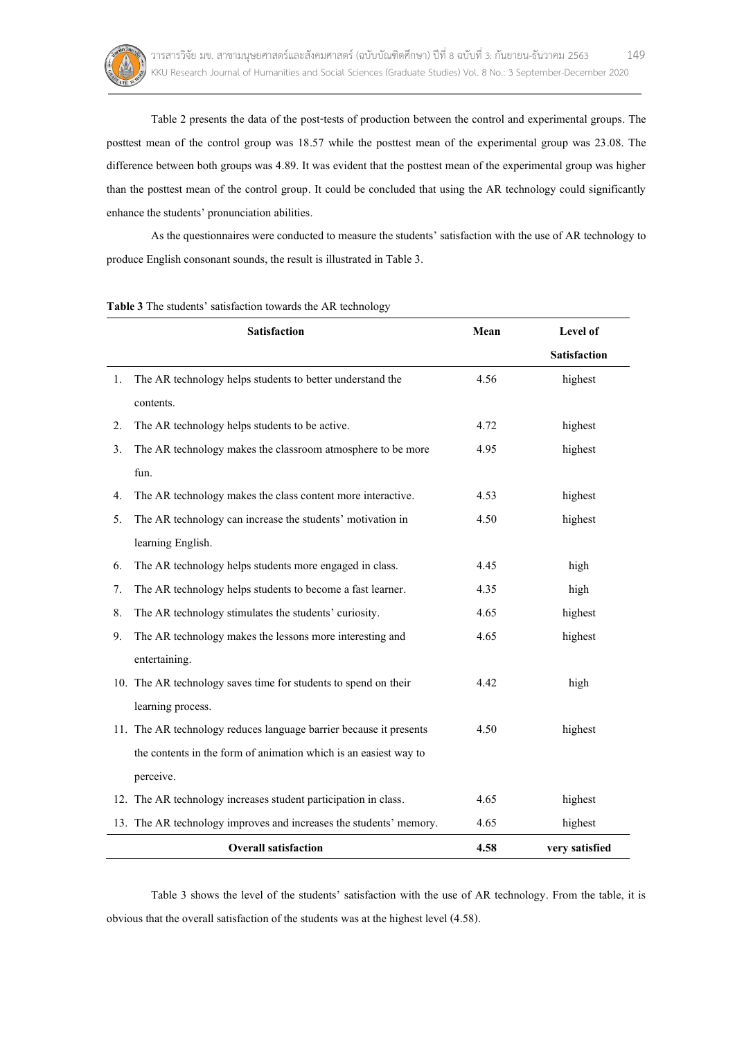

Table 2 presents the data of the post-tests of production between the control and experimental groups. The posttest mean of the control group was 18.57 while the posttest mean of the experimental group was 23.08. The difference between both groups was 4.89. It was evident that the posttest mean of the experimental group was higher than the posttest mean of the control group. It could be concluded that using the AR technology could significantly enhance the students' pronunciation abilities.

As the questionnaires were conducted to measure the students' satisfaction with the use of AR technology to produce English consonant sounds, the result is illustrated in Table 3.

| Satisfaction |                                                                    | Mean | Level of       |  |
|--------------|--------------------------------------------------------------------|------|----------------|--|
|              |                                                                    |      | Satisfaction   |  |
| 1.           | The AR technology helps students to better understand the          | 4.56 | highest        |  |
|              | contents.                                                          |      |                |  |
| 2.           | The AR technology helps students to be active.                     | 4.72 | highest        |  |
| 3.           | The AR technology makes the classroom atmosphere to be more        | 4.95 | highest        |  |
|              | fun.                                                               |      |                |  |
| 4.           | The AR technology makes the class content more interactive.        | 4.53 | highest        |  |
| 5.           | The AR technology can increase the students' motivation in         | 4.50 | highest        |  |
|              | learning English.                                                  |      |                |  |
| 6.           | The AR technology helps students more engaged in class.            | 4.45 | high           |  |
| 7.           | The AR technology helps students to become a fast learner.         | 4.35 | high           |  |
| 8.           | The AR technology stimulates the students' curiosity.              | 4.65 | highest        |  |
| 9.           | The AR technology makes the lessons more interesting and           | 4.65 | highest        |  |
|              | entertaining.                                                      |      |                |  |
|              | 10. The AR technology saves time for students to spend on their    | 4.42 | high           |  |
|              | learning process.                                                  |      |                |  |
|              | 11. The AR technology reduces language barrier because it presents | 4.50 | highest        |  |
|              | the contents in the form of animation which is an easiest way to   |      |                |  |
|              | perceive.                                                          |      |                |  |
|              | 12. The AR technology increases student participation in class.    | 4.65 | highest        |  |
|              | 13. The AR technology improves and increases the students' memory. | 4.65 | highest        |  |
|              | <b>Overall satisfaction</b>                                        | 4.58 | very satisfied |  |

**Table 3** The students' satisfaction towards the AR technology

Table 3 shows the level of the students' satisfaction with the use of AR technology. From the table, it is obvious that the overall satisfaction of the students was at the highest level (4.58).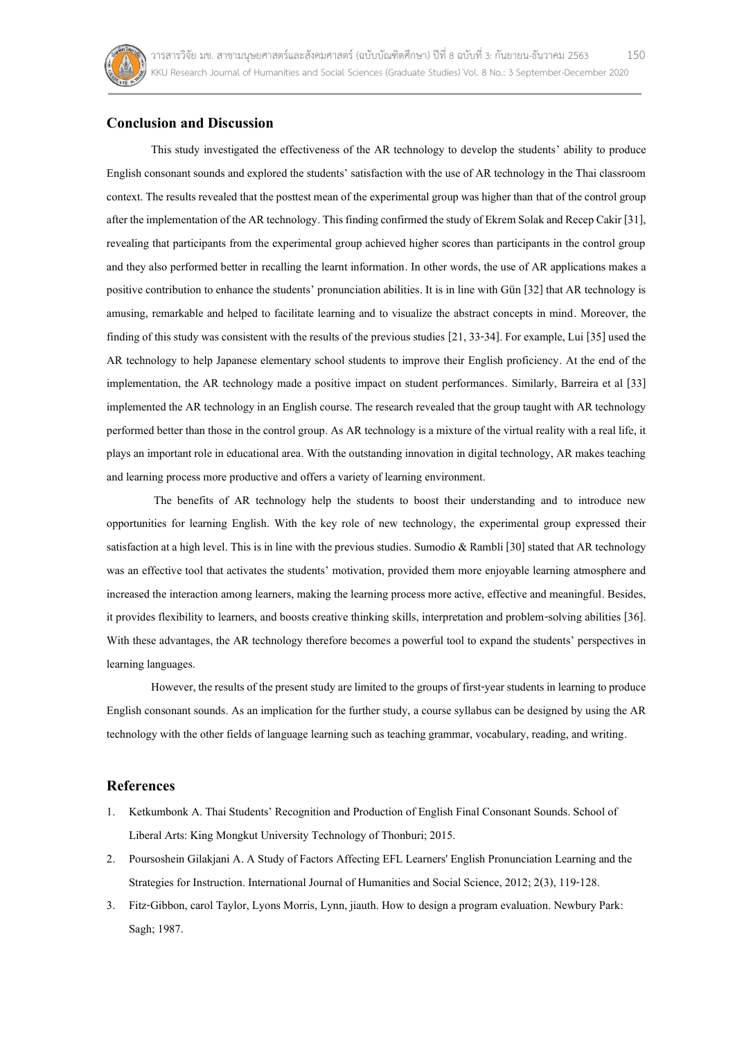

# **Conclusion and Discussion**

This study investigated the effectiveness of the AR technology to develop the students' ability to produce English consonant sounds and explored the students' satisfaction with the use of AR technology in the Thai classroom context. The results revealed that the posttest mean of the experimental group was higher than that of the control group after the implementation of the AR technology. This finding confirmed the study of Ekrem Solak and Recep Cakir [31], revealing that participants from the experimental group achieved higher scores than participants in the control group and they also performed better in recalling the learnt information. In other words, the use of AR applications makes a positive contribution to enhance the students' pronunciation abilities. It is in line with Gün [32] that AR technology is amusing, remarkable and helped to facilitate learning and to visualize the abstract concepts in mind. Moreover, the finding of this study was consistent with the results of the previous studies  $[21, 33-34]$ . For example, Lui  $[35]$  used the AR technology to help Japanese elementary school students to improve their English proficiency. At the end of the implementation, the AR technology made a positive impact on student performances. Similarly, Barreira et al [33] implemented the AR technology in an English course. The research revealed that the group taught with AR technology performed better than those in the control group. As AR technology is a mixture of the virtual reality with a real life, it plays an important role in educational area. With the outstanding innovation in digital technology, AR makes teaching and learning process more productive and offers avariety of learning environment.

The benefits of AR technology help the students to boost their understanding and to introduce new opportunities for learning English. With the key role of new technology, the experimental group expressed their satisfaction at a high level. This is in line with the previous studies. Sumodio & Rambli [30] stated that AR technology was an effective tool that activates the students' motivation, provided them more enjoyable learning atmosphere and increased the interaction among learners, making the learning process more active, effective and meaningful. Besides, it provides flexibility to learners, and boosts creative thinking skills, interpretation and problem-solving abilities [36]. With these advantages, the AR technology therefore becomes a powerful tool to expand the students' perspectives in learning languages.

However, the results of the present study are limited to the groups of first-year students in learning to produce English consonant sounds. As an implication for the further study, a course syllabus can be designed by using the AR technology with the other fields of language learning such as teaching grammar, vocabulary, reading, and writing.

## **References**

- 1. Ketkumbonk A. Thai Students' Recognition and Production of English Final Consonant Sounds. School of Liberal Arts: King Mongkut University Technologyof Thonburi;2015.
- 2. Poursoshein Gilakjani A. A Study of Factors Affecting EFL Learners' English Pronunciation Learning and the Strategies for Instruction. International Journal of Humanities and Social Science, 2012; 2(3), 119-128.
- 3. Fitz-Gibbon, carol Taylor, Lyons Morris, Lynn, jiauth. How to design a program evaluation. Newbury Park: Sagh;1987.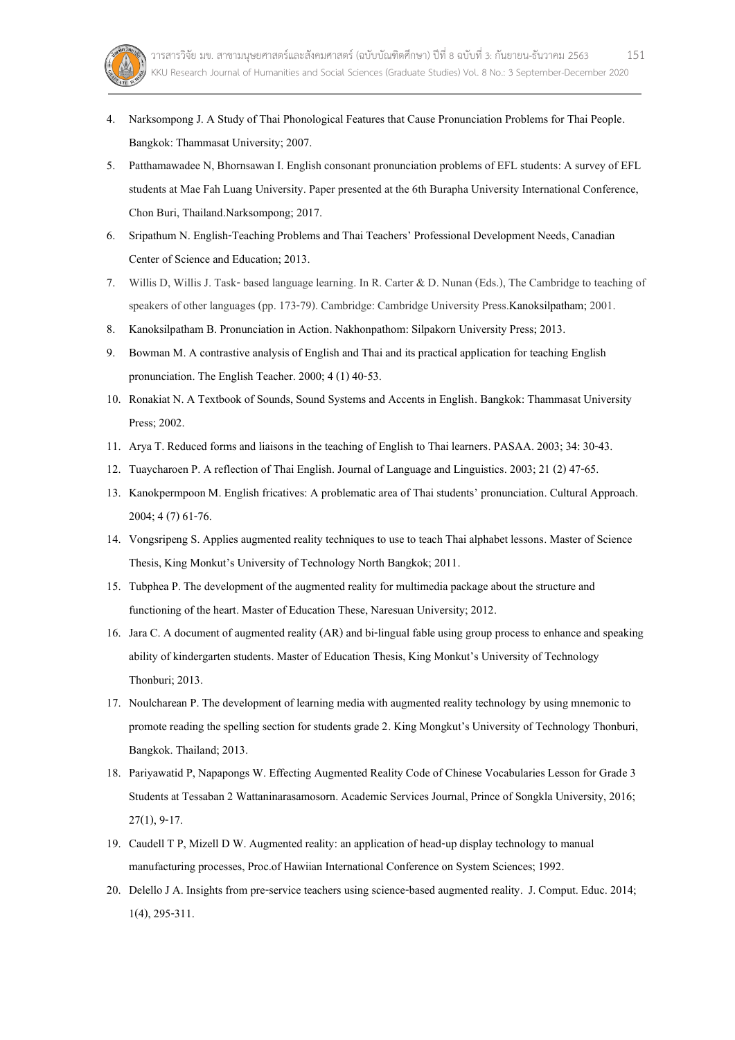- 4. Narksompong J. A Study of Thai Phonological Features that Cause Pronunciation Problems for Thai People. Bangkok: Thammasat University; 2007.
- 5. Patthamawadee N, Bhornsawan I. English consonant pronunciation problems of EFL students: A survey of EFL students at Mae Fah Luang University. Paper presented at the 6th Burapha University International Conference, Chon Buri, Thailand.Narksompong; 2017.
- 6. Sripathum N. English-Teaching Problems and Thai Teachers' Professional Development Needs, Canadian Center of Science and Education; 2013.
- 7. Willis D, Willis J. Task-based language learning. In R. Carter & D. Nunan (Eds.), The Cambridge to teaching of speakers of other languages (pp. 173-79). Cambridge: Cambridge University Press.Kanoksilpatham; 2001.
- 8. Kanoksilpatham B. Pronunciation in Action. Nakhonpathom: Silpakorn University Press; 2013.
- 9. Bowman M. A contrastive analysis of English and Thai and its practical application for teaching English pronunciation. The English Teacher. 2000; 4 (1) 40-53.
- 10. Ronakiat N. A Textbook of Sounds, Sound Systems and Accents in English. Bangkok: Thammasat University Press;2002.
- 11. Arya T. Reduced forms and liaisons in the teaching of English to Thai learners. PASAA. 2003; 34: 30-43.
- 12. Tuaycharoen P. A reflection of Thai English. Journal of Language and Linguistics. 2003; 21 (2) 47-65.
- 13. Kanokpermpoon M. English fricatives: A problematic area of Thai students' pronunciation. Cultural Approach. 2004; 4 (7) 61-76.
- 14. Vongsripeng S. Applies augmented reality techniques to use to teach Thai alphabet lessons. Master of Science Thesis, King Monkut's University of Technology North Bangkok; 2011.
- 15. Tubphea P. The development of the augmented reality for multimedia package about the structure and functioning of the heart. Master of Education These, Naresuan University; 2012.
- 16. Jara C. A document of augmented reality (AR) and bi-lingual fable using group process to enhance and speaking ability of kindergarten students. Master of Education Thesis, King Monkut's University of Technology Thonburi; 2013.
- 17. Noulcharean P. The development of learning media with augmented reality technology by using mnemonic to promote reading the spelling section for students grade 2. King Mongkut's University of Technology Thonburi, Bangkok. Thailand; 2013.
- 18. Pariyawatid P, Napapongs W. Effecting Augmented Reality Code of Chinese Vocabularies Lesson for Grade 3 Students at Tessaban 2 Wattaninarasamosorn. Academic Services Journal, Prince of Songkla University, 2016; 27(1), 9-17.
- 19. Caudell T P, Mizell D W. Augmented reality: an application of head-up display technology to manual manufacturing processes, Proc.of Hawiian International Conference on System Sciences; 1992.
- 20. Delello J A. Insights from pre-service teachers using science-based augmented reality. J. Comput. Educ. 2014; 1(4), 295-311.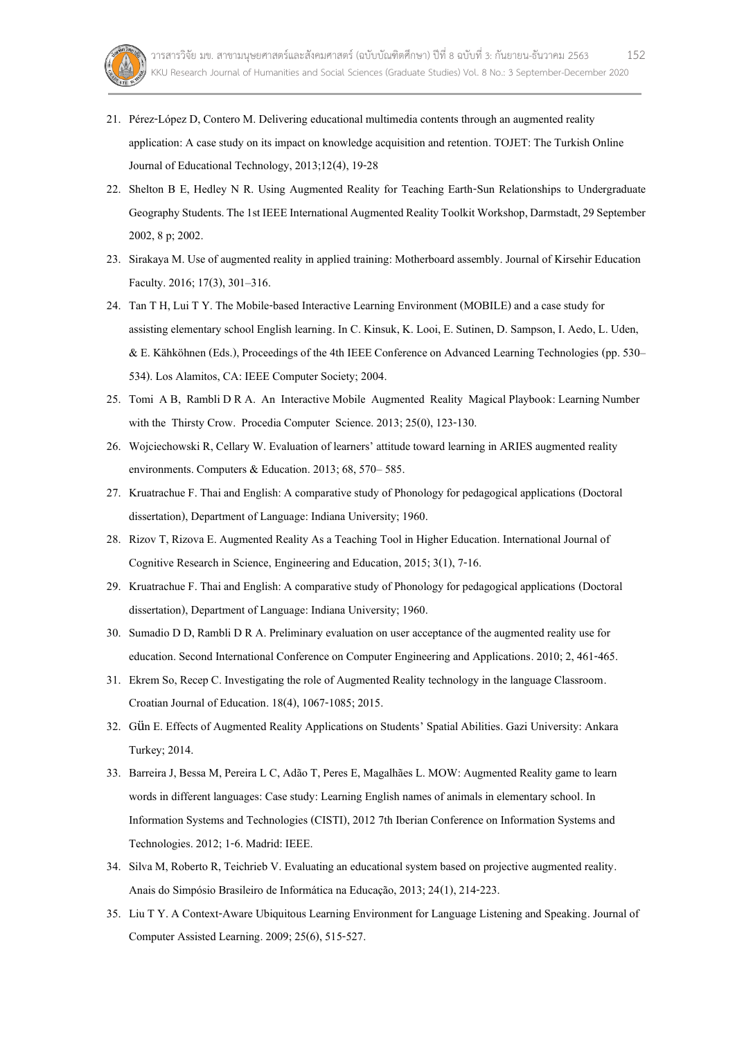

- 21. Pérez-López D, Contero M. Delivering educational multimedia contents through an augmented reality application: A case study on its impact on knowledge acquisition and retention. TOJET: The Turkish Online Journal of Educational Technology, 2013;12(4), 19-28
- 22. Shelton B E, Hedley N R. Using Augmented Reality for Teaching Earth-Sun Relationships to Undergraduate Geography Students. The 1st IEEE International Augmented Reality Toolkit Workshop, Darmstadt, 29 September 2002, 8 p; 2002.
- 23. Sirakaya M. Use of augmented reality in applied training: Motherboard assembly. Journal of Kirsehir Education Faculty. 2016; 17(3), 301–316.
- 24. Tan T H, Lui T Y. The Mobile-based Interactive Learning Environment (MOBILE) and a case study for assisting elementary school English learning. In C. Kinsuk, K. Looi, E. Sutinen, D. Sampson, I. Aedo, L. Uden, & E. Kähköhnen (Eds.), Proceedings of the 4th IEEE Conference on Advanced Learning Technologies (pp. 530– 534). Los Alamitos, CA: IEEE Computer Society; 2004.
- 25. Tomi A B, Rambli D R A. An Interactive Mobile Augmented Reality Magical Playbook: Learning Number with the Thirsty Crow. Procedia Computer Science. 2013; 25(0), 123-130.
- 26. Wojciechowski R, Cellary W. Evaluation of learners' attitude toward learning in ARIES augmented reality environments. Computers & Education. 2013; 68, 570– 585.
- 27. Kruatrachue F. Thai and English: A comparative study of Phonology for pedagogical applications (Doctoral dissertation), Department of Language: Indiana University; 1960.
- 28. Rizov T, Rizova E. Augmented Reality As a Teaching Tool in Higher Education. International Journalof Cognitive Research in Science, Engineering and Education, 2015; 3(1), 7-16.
- 29. Kruatrachue F. Thai and English: A comparative study of Phonology for pedagogical applications (Doctoral dissertation), Department of Language: Indiana University; 1960.
- 30. Sumadio D D, Rambli D R A. Preliminary evaluation on user acceptance of the augmented reality use for education. Second International Conference on Computer Engineering and Applications. 2010; 2, 461-465.
- 31. Ekrem So, Recep C. Investigating the role of Augmented Reality technology in the language Classroom. Croatian Journal of Education. 18(4), 1067-1085; 2015.
- 32. Gün E. Effects of Augmented Reality Applications on Students' Spatial Abilities. Gazi University: Ankara Turkey; 2014.
- 33. Barreira J, Bessa M, Pereira L C, Adão T, Peres E, Magalhães L. MOW: Augmented Reality game to learn words in different languages: Case study: Learning English names of animals in elementary school. In Information Systems and Technologies (CISTI), 2012 7th Iberian Conference on Information Systems and Technologies. 2012; 1-6. Madrid: IEEE.
- 34. Silva M, Roberto R, Teichrieb V. Evaluating an educational system based on projective augmented reality. Anais do Simpósio Brasileiro de Informática na Educação, 2013; 24(1), 214-223.
- 35. Liu T Y. A Context-Aware Ubiquitous Learning Environment for Language Listening and Speaking. Journal of Computer Assisted Learning. 2009;25(6), 515-527.